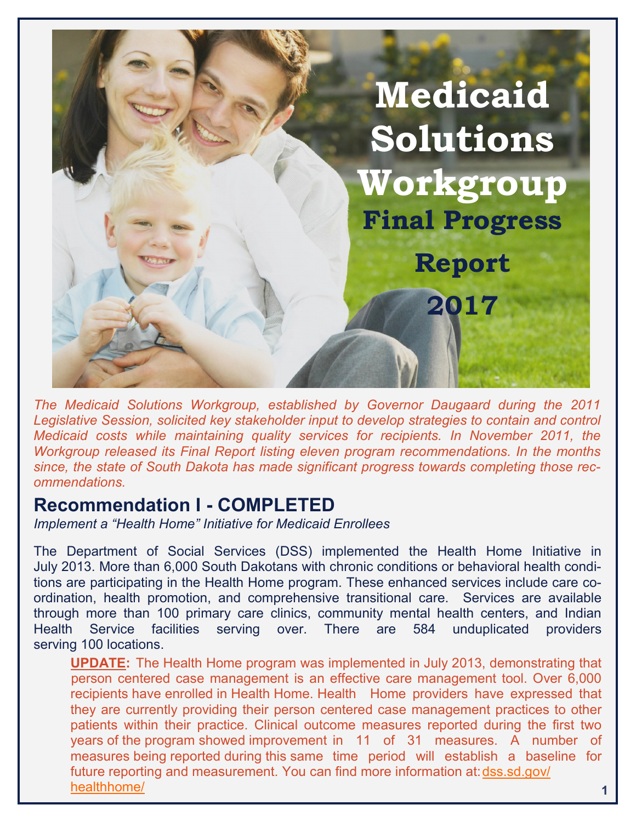

*The Medicaid Solutions Workgroup, established by Governor Daugaard during the 2011 Legislative Session, solicited key stakeholder input to develop strategies to contain and control Medicaid costs while maintaining quality services for recipients. In November 2011, the Workgroup released its Final Report listing eleven program recommendations. In the months since, the state of South Dakota has made significant progress towards completing those recommendations.*

#### **Recommendation I - COMPLETED**

*Implement a "Health Home" Initiative for Medicaid Enrollees*

The Department of Social Services (DSS) implemented the Health Home Initiative in July 2013. More than 6,000 South Dakotans with chronic conditions or behavioral health conditions are participating in the Health Home program. These enhanced services include care coordination, health promotion, and comprehensive transitional care. Services are available through more than 100 primary care clinics, community mental health centers, and Indian Health Service facilities serving over. There are 584 unduplicated providers serving 100 locations.

**UPDATE:** The Health Home program was implemented in July 2013, demonstrating that person centered case management is an effective care management tool. Over 6,000 recipients have enrolled in Health Home. Health Home providers have expressed that they are currently providing their person centered case management practices to other patients within their practice. Clinical outcome measures reported during the first two years of the program showed improvement in 11 of 31 measures. A number of measures being reported during this same time period will establish a baseline for future reporting and measurement. You can find more information at:[dss.sd.gov/](https://dss.sd.gov/healthhome/index.asp) [healthhome/](https://dss.sd.gov/healthhome/index.asp) **1**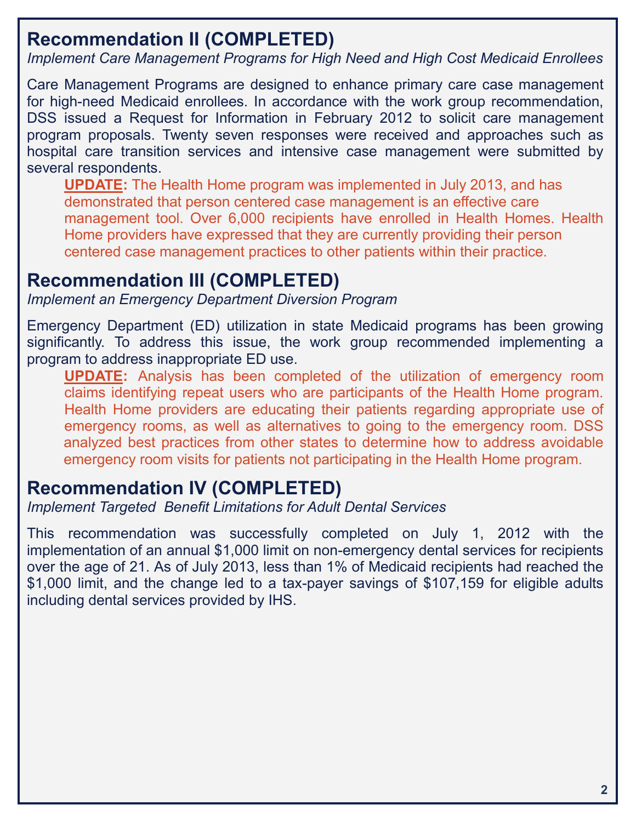## **Recommendation II (COMPLETED)**

*Implement Care Management Programs for High Need and High Cost Medicaid Enrollees*

Care Management Programs are designed to enhance primary care case management for high-need Medicaid enrollees. In accordance with the work group recommendation, DSS issued a Request for Information in February 2012 to solicit care management program proposals. Twenty seven responses were received and approaches such as hospital care transition services and intensive case management were submitted by several respondents.

**UPDATE:** The Health Home program was implemented in July 2013, and has demonstrated that person centered case management is an effective care management tool. Over 6,000 recipients have enrolled in Health Homes. Health Home providers have expressed that they are currently providing their person centered case management practices to other patients within their practice.

# **Recommendation III (COMPLETED)**

*Implement an Emergency Department Diversion Program*

Emergency Department (ED) utilization in state Medicaid programs has been growing significantly. To address this issue, the work group recommended implementing a program to address inappropriate ED use.

**UPDATE:** Analysis has been completed of the utilization of emergency room claims identifying repeat users who are participants of the Health Home program. Health Home providers are educating their patients regarding appropriate use of emergency rooms, as well as alternatives to going to the emergency room. DSS analyzed best practices from other states to determine how to address avoidable emergency room visits for patients not participating in the Health Home program.

## **Recommendation IV (COMPLETED)**

*Implement Targeted Benefit Limitations for Adult Dental Services*

This recommendation was successfully completed on July 1, 2012 with the implementation of an annual \$1,000 limit on non-emergency dental services for recipients over the age of 21. As of July 2013, less than 1% of Medicaid recipients had reached the \$1,000 limit, and the change led to a tax-payer savings of \$107,159 for eligible adults including dental services provided by IHS.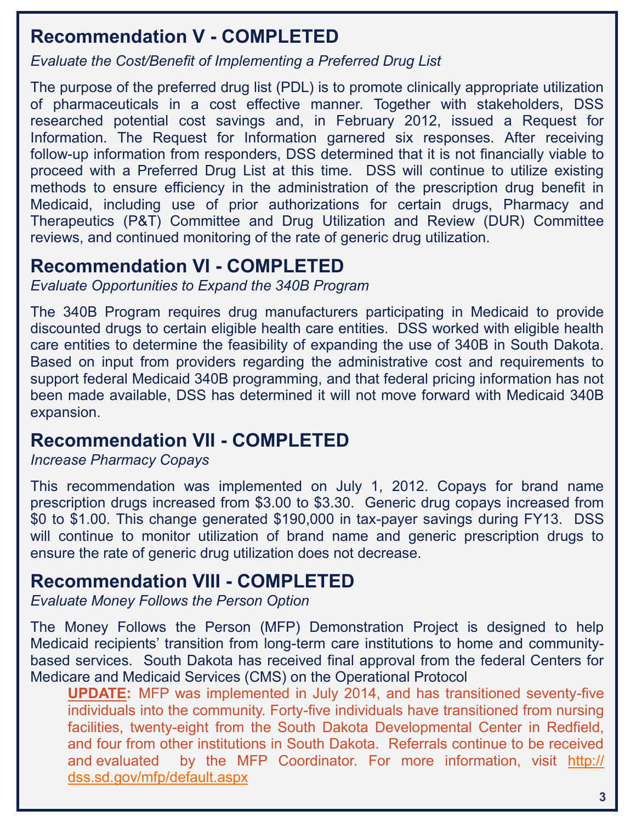#### **Recommendation V - COMPLETED**

*Evaluate the Cost/Benefit of Implementing a Preferred Drug List*

The purpose of the preferred drug list (PDL) is to promote clinically appropriate utilization of pharmaceuticals in a cost effective manner. Together with stakeholders, DSS researched potential cost savings and, in February 2012, issued a Request for Information. The Request for Information garnered six responses. After receiving follow-up information from responders, DSS determined that it is not financially viable to proceed with a Preferred Drug List at this time. DSS will continue to utilize existing methods to ensure efficiency in the administration of the prescription drug benefit in Medicaid, including use of prior authorizations for certain drugs, Pharmacy and Therapeutics (P&T) Committee and Drug Utilization and Review (DUR) Committee reviews, and continued monitoring of the rate of generic drug utilization.

#### **Recommendation VI - COMPLETED**

*Evaluate Opportunities to Expand the 340B Program*

The 340B Program requires drug manufacturers participating in Medicaid to provide discounted drugs to certain eligible health care entities. DSS worked with eligible health care entities to determine the feasibility of expanding the use of 340B in South Dakota. Based on input from providers regarding the administrative cost and requirements to support federal Medicaid 340B programming, and that federal pricing information has not been made available, DSS has determined it will not move forward with Medicaid 340B expansion.

## **Recommendation VII - COMPLETED**

#### *Increase Pharmacy Copays*

This recommendation was implemented on July 1, 2012. Copays for brand name prescription drugs increased from \$3.00 to \$3.30. Generic drug copays increased from \$0 to \$1.00. This change generated \$190,000 in tax-payer savings during FY13. DSS will continue to monitor utilization of brand name and generic prescription drugs to ensure the rate of generic drug utilization does not decrease.

#### **Recommendation VIII - COMPLETED**

*Evaluate Money Follows the Person Option*

The Money Follows the Person (MFP) Demonstration Project is designed to help Medicaid recipients' transition from long-term care institutions to home and communitybased services. South Dakota has received final approval from the federal Centers for Medicare and Medicaid Services (CMS) on the Operational Protocol

**3 UPDATE:** MFP was implemented in July 2014, and has transitioned seventy-five individuals into the community. Forty-five individuals have transitioned from nursing facilities, twenty-eight from the South Dakota Developmental Center in Redfield, and four from other institutions in South Dakota. Referrals continue to be received and evaluated by the MFP Coordinator. For more information, visit [http://](http://dss.sd.gov/mfp/default.aspx) [dss.sd.gov/mfp/default.aspx](http://dss.sd.gov/mfp/default.aspx)